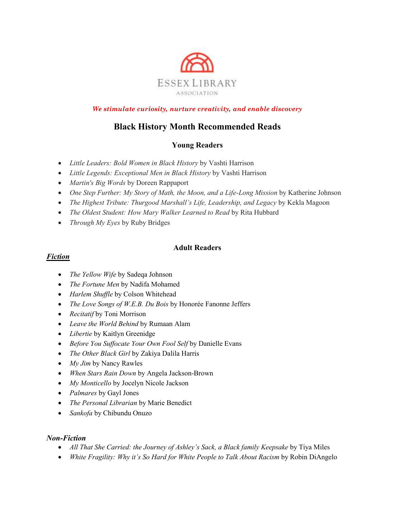

*We stimulate curiosity, nurture creativity, and enable discovery*

# **Black History Month Recommended Reads**

## **Young Readers**

- *Little Leaders: Bold Women in Black History* by Vashti Harrison
- *Little Legends: Exceptional Men in Black History* by Vashti Harrison
- *Martin's Big Words* by Doreen Rappaport
- One Step Further: My Story of Math, the Moon, and a Life-Long Mission by Katherine Johnson
- *The Highest Tribute: Thurgood Marshall's Life, Leadership, and Legacy* by Kekla Magoon
- The Oldest Student: How Mary Walker Learned to Read by Rita Hubbard
- *Through My Eyes* by Ruby Bridges

#### **Adult Readers**

### *Fiction*

- *The Yellow Wife* by Sadeqa Johnson
- *The Fortune Men* by Nadifa Mohamed
- *Harlem Shuffle* by Colson Whitehead
- *The Love Songs of W.E.B. Du Bois* by Honorée Fanonne Jeffers
- *Recitatif* by Toni Morrison
- *Leave the World Behind* by Rumaan Alam
- *Libertie* by Kaitlyn Greenidge
- *Before You Suffocate Your Own Fool Self* by Danielle Evans
- *The Other Black Girl* by Zakiya Dalila Harris
- *My Jim* by Nancy Rawles
- *When Stars Rain Down* by Angela Jackson-Brown
- *My Monticello* by Jocelyn Nicole Jackson
- *Palmares* by Gayl Jones
- *The Personal Librarian* by Marie Benedict
- *Sankofa* by Chibundu Onuzo

#### *Non-Fiction*

- *All That She Carried: the Journey of Ashley's Sack, a Black family Keepsake* by Tiya Miles
- *White Fragility: Why it's So Hard for White People to Talk About Racism* by Robin DiAngelo